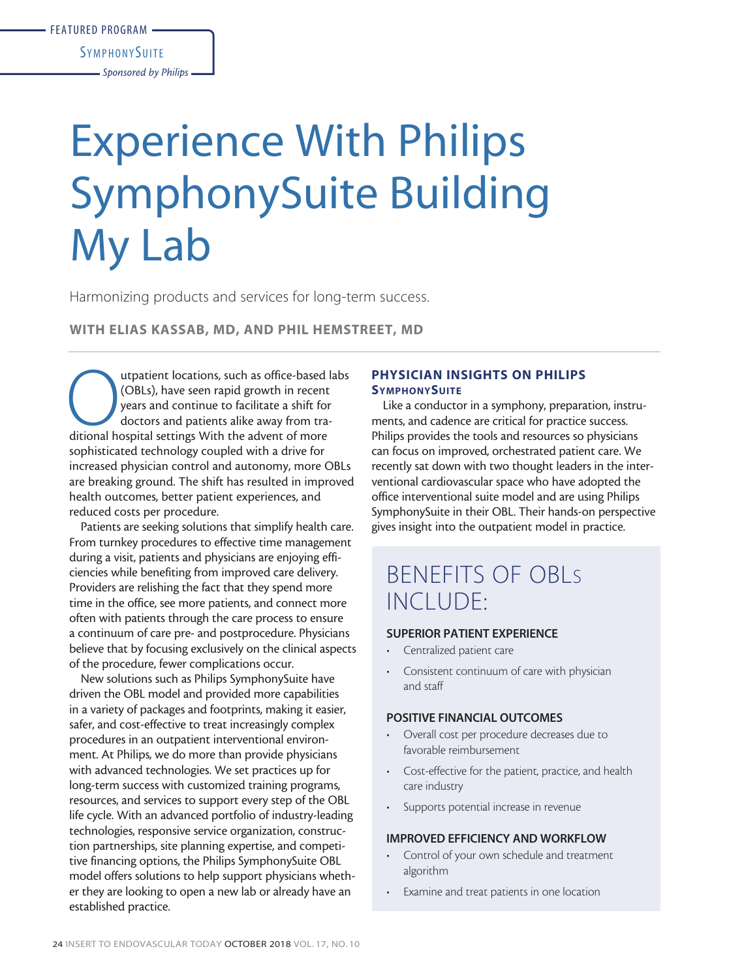**SYMPHONYSUITE** 

*Sponsored by Philips*

# Experience With Philips SymphonySuite Building My Lab

Harmonizing products and services for long-term success.

WITH ELIAS KASSAB, MD, AND PHIL HEMSTREET, MD

utpatient locations, such as office-based labs (OBLs), have seen rapid growth in recent years and continue to facilitate a shift for doctors and patients alike away from traditional hospital settings With the advent of mor (OBLs), have seen rapid growth in recent years and continue to facilitate a shift for doctors and patients alike away from trasophisticated technology coupled with a drive for increased physician control and autonomy, more OBLs are breaking ground. The shift has resulted in improved health outcomes, better patient experiences, and reduced costs per procedure.

Patients are seeking solutions that simplify health care. From turnkey procedures to effective time management during a visit, patients and physicians are enjoying efficiencies while benefiting from improved care delivery. Providers are relishing the fact that they spend more time in the office, see more patients, and connect more often with patients through the care process to ensure a continuum of care pre- and postprocedure. Physicians believe that by focusing exclusively on the clinical aspects of the procedure, fewer complications occur.

New solutions such as Philips SymphonySuite have driven the OBL model and provided more capabilities in a variety of packages and footprints, making it easier, safer, and cost-effective to treat increasingly complex procedures in an outpatient interventional environment. At Philips, we do more than provide physicians with advanced technologies. We set practices up for long-term success with customized training programs, resources, and services to support every step of the OBL life cycle. With an advanced portfolio of industry-leading technologies, responsive service organization, construction partnerships, site planning expertise, and competitive financing options, the Philips SymphonySuite OBL model offers solutions to help support physicians whether they are looking to open a new lab or already have an established practice.

# PHYSICIAN INSIGHTS ON PHILIPS **SYMPHONYSUITE**

Like a conductor in a symphony, preparation, instruments, and cadence are critical for practice success. Philips provides the tools and resources so physicians can focus on improved, orchestrated patient care. We recently sat down with two thought leaders in the interventional cardiovascular space who have adopted the office interventional suite model and are using Philips SymphonySuite in their OBL. Their hands-on perspective gives insight into the outpatient model in practice.

# BENEFITS OF OBLs INCLUDE:

### SUPERIOR PATIENT EXPERIENCE

- Centralized patient care
- Consistent continuum of care with physician and staff

#### POSITIVE FINANCIAL OUTCOMES

- Overall cost per procedure decreases due to favorable reimbursement
- Cost-effective for the patient, practice, and health care industry
- Supports potential increase in revenue

### IMPROVED EFFICIENCY AND WORKFLOW

- Control of your own schedule and treatment algorithm
- Examine and treat patients in one location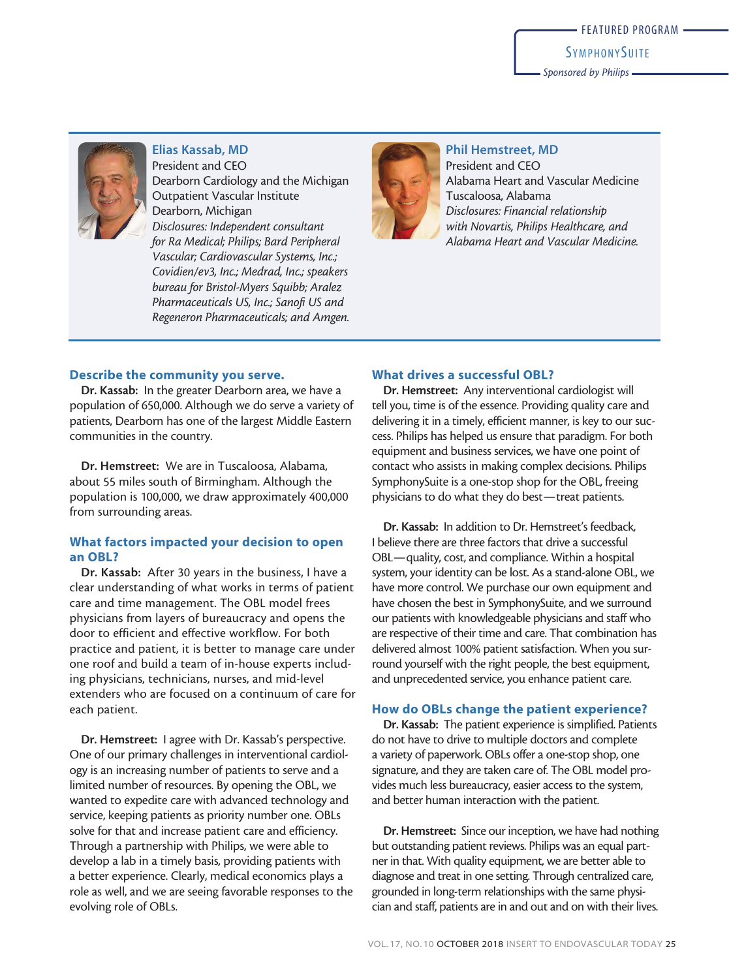*Sponsored by Philips*



Elias Kassab, MD President and CEO Dearborn Cardiology and the Michigan Outpatient Vascular Institute Dearborn, Michigan *Disclosures: Independent consultant for Ra Medical; Philips; Bard Peripheral Vascular; Cardiovascular Systems, Inc.; Covidien/ev3, Inc.; Medrad, Inc.; speakers bureau for Bristol-Myers Squibb; Aralez Pharmaceuticals US, Inc.; Sanofi US and Regeneron Pharmaceuticals; and Amgen.*



Phil Hemstreet, MD President and CEO Alabama Heart and Vascular Medicine Tuscaloosa, Alabama *Disclosures: Financial relationship with Novartis, Philips Healthcare, and Alabama Heart and Vascular Medicine.*

#### Describe the community you serve.

Dr. Kassab: In the greater Dearborn area, we have a population of 650,000. Although we do serve a variety of patients, Dearborn has one of the largest Middle Eastern communities in the country.

Dr. Hemstreet: We are in Tuscaloosa, Alabama, about 55 miles south of Birmingham. Although the population is 100,000, we draw approximately 400,000 from surrounding areas.

# What factors impacted your decision to open an OBL?

Dr. Kassab: After 30 years in the business, I have a clear understanding of what works in terms of patient care and time management. The OBL model frees physicians from layers of bureaucracy and opens the door to efficient and effective workflow. For both practice and patient, it is better to manage care under one roof and build a team of in-house experts including physicians, technicians, nurses, and mid-level extenders who are focused on a continuum of care for each patient.

Dr. Hemstreet: I agree with Dr. Kassab's perspective. One of our primary challenges in interventional cardiology is an increasing number of patients to serve and a limited number of resources. By opening the OBL, we wanted to expedite care with advanced technology and service, keeping patients as priority number one. OBLs solve for that and increase patient care and efficiency. Through a partnership with Philips, we were able to develop a lab in a timely basis, providing patients with a better experience. Clearly, medical economics plays a role as well, and we are seeing favorable responses to the evolving role of OBLs.

#### What drives a successful OBL?

Dr. Hemstreet: Any interventional cardiologist will tell you, time is of the essence. Providing quality care and delivering it in a timely, efficient manner, is key to our success. Philips has helped us ensure that paradigm. For both equipment and business services, we have one point of contact who assists in making complex decisions. Philips SymphonySuite is a one-stop shop for the OBL, freeing physicians to do what they do best—treat patients.

Dr. Kassab: In addition to Dr. Hemstreet's feedback, I believe there are three factors that drive a successful OBL—quality, cost, and compliance. Within a hospital system, your identity can be lost. As a stand-alone OBL, we have more control. We purchase our own equipment and have chosen the best in SymphonySuite, and we surround our patients with knowledgeable physicians and staff who are respective of their time and care. That combination has delivered almost 100% patient satisfaction. When you surround yourself with the right people, the best equipment, and unprecedented service, you enhance patient care.

#### How do OBLs change the patient experience?

Dr. Kassab: The patient experience is simplified. Patients do not have to drive to multiple doctors and complete a variety of paperwork. OBLs offer a one-stop shop, one signature, and they are taken care of. The OBL model provides much less bureaucracy, easier access to the system, and better human interaction with the patient.

Dr. Hemstreet: Since our inception, we have had nothing but outstanding patient reviews. Philips was an equal partner in that. With quality equipment, we are better able to diagnose and treat in one setting. Through centralized care, grounded in long-term relationships with the same physician and staff, patients are in and out and on with their lives.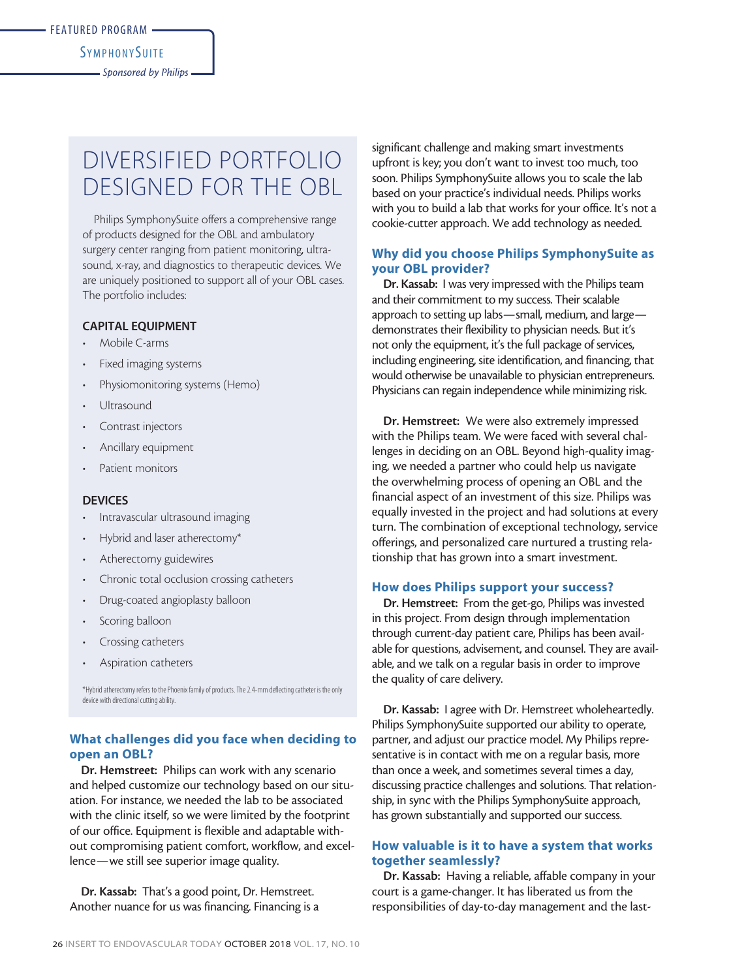#### **SYMPHONYSUITE**

*Sponsored by Philips*

# DIVERSIFIED PORTFOLIO DESIGNED FOR THE OBL

Philips SymphonySuite offers a comprehensive range of products designed for the OBL and ambulatory surgery center ranging from patient monitoring, ultrasound, x-ray, and diagnostics to therapeutic devices. We are uniquely positioned to support all of your OBL cases. The portfolio includes:

#### CAPITAL EQUIPMENT

- Mobile C-arms
- Fixed imaging systems
- Physiomonitoring systems (Hemo)
- **Ultrasound**
- Contrast injectors
- Ancillary equipment
- Patient monitors

#### **DEVICES**

- Intravascular ultrasound imaging
- Hybrid and laser atherectomy\*
- Atherectomy guidewires
- Chronic total occlusion crossing catheters
- Drug-coated angioplasty balloon
- Scoring balloon
- Crossing catheters
- Aspiration catheters

\*Hybrid atherectomy refers to the Phoenix family of products. The 2.4-mm deflecting catheter is the only device with directional cutting ability.

### What challenges did you face when deciding to open an OBL?

Dr. Hemstreet: Philips can work with any scenario and helped customize our technology based on our situation. For instance, we needed the lab to be associated with the clinic itself, so we were limited by the footprint of our office. Equipment is flexible and adaptable without compromising patient comfort, workflow, and excellence—we still see superior image quality.

Dr. Kassab: That's a good point, Dr. Hemstreet. Another nuance for us was financing. Financing is a significant challenge and making smart investments upfront is key; you don't want to invest too much, too soon. Philips SymphonySuite allows you to scale the lab based on your practice's individual needs. Philips works with you to build a lab that works for your office. It's not a cookie-cutter approach. We add technology as needed.

# Why did you choose Philips SymphonySuite as your OBL provider?

Dr. Kassab: I was very impressed with the Philips team and their commitment to my success. Their scalable approach to setting up labs—small, medium, and large demonstrates their flexibility to physician needs. But it's not only the equipment, it's the full package of services, including engineering, site identification, and financing, that would otherwise be unavailable to physician entrepreneurs. Physicians can regain independence while minimizing risk.

Dr. Hemstreet: We were also extremely impressed with the Philips team. We were faced with several challenges in deciding on an OBL. Beyond high-quality imaging, we needed a partner who could help us navigate the overwhelming process of opening an OBL and the financial aspect of an investment of this size. Philips was equally invested in the project and had solutions at every turn. The combination of exceptional technology, service offerings, and personalized care nurtured a trusting relationship that has grown into a smart investment.

#### How does Philips support your success?

Dr. Hemstreet: From the get-go, Philips was invested in this project. From design through implementation through current-day patient care, Philips has been available for questions, advisement, and counsel. They are available, and we talk on a regular basis in order to improve the quality of care delivery.

Dr. Kassab: I agree with Dr. Hemstreet wholeheartedly. Philips SymphonySuite supported our ability to operate, partner, and adjust our practice model. My Philips representative is in contact with me on a regular basis, more than once a week, and sometimes several times a day, discussing practice challenges and solutions. That relationship, in sync with the Philips SymphonySuite approach, has grown substantially and supported our success.

# How valuable is it to have a system that works together seamlessly?

Dr. Kassab: Having a reliable, affable company in your court is a game-changer. It has liberated us from the responsibilities of day-to-day management and the last-